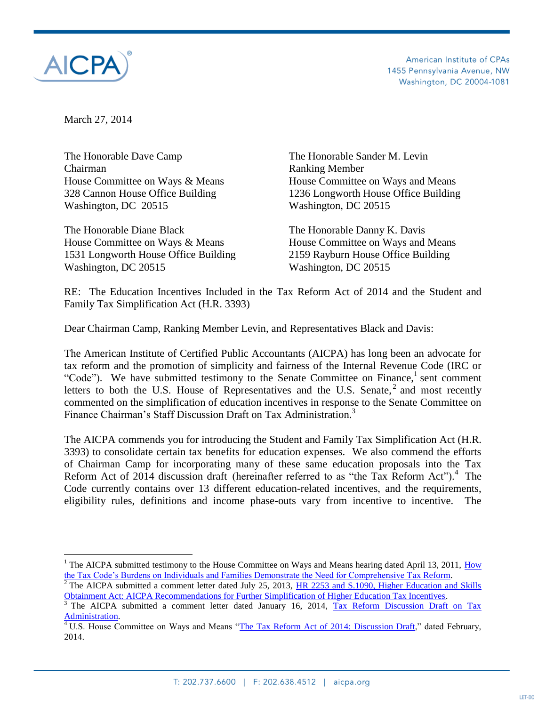

 $\overline{a}$ 

American Institute of CPAs 1455 Pennsylvania Avenue, NW Washington, DC 20004-1081

March 27, 2014

The Honorable Dave Camp The Honorable Sander M. Levin Chairman Ranking Member Washington, DC 20515 Washington, DC 20515

The Honorable Diane Black The Honorable Danny K. Davis House Committee on Ways & Means House Committee on Ways and Means 1531 Longworth House Office Building 2159 Rayburn House Office Building Washington, DC 20515 Washington, DC 20515

House Committee on Ways & Means House Committee on Ways and Means 328 Cannon House Office Building 1236 Longworth House Office Building

RE: The Education Incentives Included in the Tax Reform Act of 2014 and the Student and Family Tax Simplification Act (H.R. 3393)

Dear Chairman Camp, Ranking Member Levin, and Representatives Black and Davis:

The American Institute of Certified Public Accountants (AICPA) has long been an advocate for tax reform and the promotion of simplicity and fairness of the Internal Revenue Code (IRC or "Code"). We have submitted testimony to the Senate Committee on Finance,<sup>1</sup> sent comment letters to both the U.S. House of Representatives and the U.S. Senate,  $2$  and most recently commented on the simplification of education incentives in response to the Senate Committee on Finance Chairman's Staff Discussion Draft on Tax Administration.<sup>3</sup>

The AICPA commends you for introducing the Student and Family Tax Simplification Act (H.R. 3393) to consolidate certain tax benefits for education expenses. We also commend the efforts of Chairman Camp for incorporating many of these same education proposals into the Tax Reform Act of 2014 discussion draft (hereinafter referred to as "the Tax Reform Act").<sup>4</sup> The Code currently contains over 13 different education-related incentives, and the requirements, eligibility rules, definitions and income phase-outs vary from incentive to incentive. The

<sup>&</sup>lt;sup>1</sup> The AICPA submitted testimony to the House Committee on Ways and Means hearing dated April 13, 2011,  $\frac{\text{How}}{\text{How}}$ [the Tax Code's Burdens on Individuals and Families Demonstrate the Need for Comprehensive Tax Reform.](http://www.aicpa.org/interestareas/tax/resources/taxlegislationpolicy/advocacy/downloadabledocuments/final_testimony_for_nellen_april_13,_2011.pdf)

<sup>&</sup>lt;sup>2</sup> The AICPA submitted a comment letter dated July 25, 2013,  $\overline{HR}$  2253 and S.1090, Higher Education and Skills [Obtainment Act: AICPA Recommendations for Further Simplification of Higher Education Tax Incentives.](http://www.aicpa.org/Advocacy/Tax/Individuals/DownloadableDocuments/AICPA-HR2253-Education-Comments-7-25-13.pdf)

<sup>&</sup>lt;sup>3</sup> The AICPA submitted a comment letter dated January 16, 2014, Tax Reform Discussion Draft on Tax [Administration.](http://www.aicpa.org/Advocacy/Tax/DownloadableDocuments/AICPA-Comments-on-Discussion-Draft-on-Tax-Administration.pdf)

 $4 \text{ U.S. House Committee on Ways and Means } \text{``The Tax Reform Act of 2014: Discussion Draft," dated February, }$ 2014.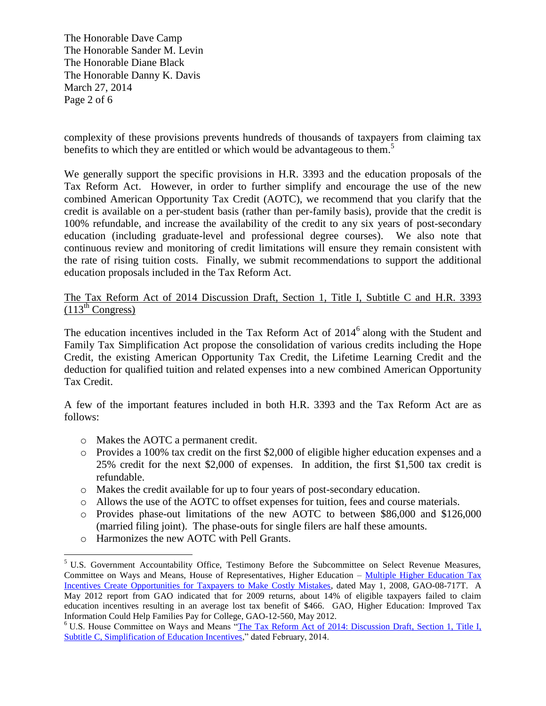The Honorable Dave Camp The Honorable Sander M. Levin The Honorable Diane Black The Honorable Danny K. Davis March 27, 2014 Page 2 of 6

complexity of these provisions prevents hundreds of thousands of taxpayers from claiming tax benefits to which they are entitled or which would be advantageous to them. 5

We generally support the specific provisions in H.R. 3393 and the education proposals of the Tax Reform Act. However, in order to further simplify and encourage the use of the new combined American Opportunity Tax Credit (AOTC), we recommend that you clarify that the credit is available on a per-student basis (rather than per-family basis), provide that the credit is 100% refundable, and increase the availability of the credit to any six years of post-secondary education (including graduate-level and professional degree courses). We also note that continuous review and monitoring of credit limitations will ensure they remain consistent with the rate of rising tuition costs. Finally, we submit recommendations to support the additional education proposals included in the Tax Reform Act.

## The Tax Reform Act of 2014 Discussion Draft, Section 1, Title I, Subtitle C and H.R. 3393  $(113<sup>th</sup> Congress)$

The education incentives included in the Tax Reform Act of  $2014<sup>6</sup>$  along with the Student and Family Tax Simplification Act propose the consolidation of various credits including the Hope Credit, the existing American Opportunity Tax Credit, the Lifetime Learning Credit and the deduction for qualified tuition and related expenses into a new combined American Opportunity Tax Credit.

A few of the important features included in both H.R. 3393 and the Tax Reform Act are as follows:

- o Makes the AOTC a permanent credit.
- o Provides a 100% tax credit on the first \$2,000 of eligible higher education expenses and a 25% credit for the next \$2,000 of expenses. In addition, the first \$1,500 tax credit is refundable.
- o Makes the credit available for up to four years of post-secondary education.
- o Allows the use of the AOTC to offset expenses for tuition, fees and course materials.
- o Provides phase-out limitations of the new AOTC to between \$86,000 and \$126,000 (married filing joint). The phase-outs for single filers are half these amounts.
- o Harmonizes the new AOTC with Pell Grants.

 $\overline{a}$ 

<sup>&</sup>lt;sup>5</sup> U.S. Government Accountability Office, Testimony Before the Subcommittee on Select Revenue Measures, Committee on Ways and Means, House of Representatives, Higher Education – [Multiple Higher Education Tax](http://www.gao.gov/assets/120/119904.pdf)  [Incentives Create Opportunities for Taxpayers to Make Costly Mistakes,](http://www.gao.gov/assets/120/119904.pdf) dated May 1, 2008, GAO-08-717T. A May 2012 report from GAO indicated that for 2009 returns, about 14% of eligible taxpayers failed to claim education incentives resulting in an average lost tax benefit of \$466. GAO, Higher Education: Improved Tax Information Could Help Families Pay for College, GAO-12-560, May 2012.

<sup>&</sup>lt;sup>6</sup> U.S. House Committee on Ways and Means "The Tax Reform Act of 2014: Discussion Draft, Section 1, Title I, Subtitle [C, Simplification of Education Incentives,](http://waysandmeans.house.gov/uploadedfiles/ways_and_means_section_by_section_summary_final_022614.pdf)" dated February, 2014.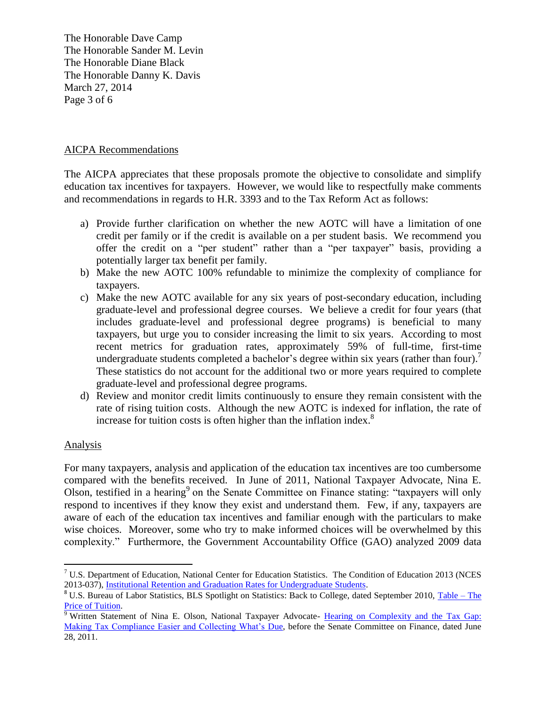The Honorable Dave Camp The Honorable Sander M. Levin The Honorable Diane Black The Honorable Danny K. Davis March 27, 2014 Page 3 of 6

## AICPA Recommendations

The AICPA appreciates that these proposals promote the objective to consolidate and simplify education tax incentives for taxpayers. However, we would like to respectfully make comments and recommendations in regards to H.R. 3393 and to the Tax Reform Act as follows:

- a) Provide further clarification on whether the new AOTC will have a limitation of one credit per family or if the credit is available on a per student basis. We recommend you offer the credit on a "per student" rather than a "per taxpayer" basis, providing a potentially larger tax benefit per family.
- b) Make the new AOTC 100% refundable to minimize the complexity of compliance for taxpayers.
- c) Make the new AOTC available for any six years of post-secondary education, including graduate-level and professional degree courses. We believe a credit for four years (that includes graduate-level and professional degree programs) is beneficial to many taxpayers, but urge you to consider increasing the limit to six years. According to most recent metrics for graduation rates, approximately 59% of full-time, first-time undergraduate students completed a bachelor's degree within six years (rather than four).<sup>7</sup> These statistics do not account for the additional two or more years required to complete graduate-level and professional degree programs.
- d) Review and monitor credit limits continuously to ensure they remain consistent with the rate of rising tuition costs. Although the new AOTC is indexed for inflation, the rate of increase for tuition costs is often higher than the inflation index. $8$

## Analysis

 $\overline{a}$ 

For many taxpayers, analysis and application of the education tax incentives are too cumbersome compared with the benefits received. In June of 2011, National Taxpayer Advocate, Nina E. Olson, testified in a hearing<sup>9</sup> on the Senate Committee on Finance stating: "taxpayers will only respond to incentives if they know they exist and understand them. Few, if any, taxpayers are aware of each of the education tax incentives and familiar enough with the particulars to make wise choices. Moreover, some who try to make informed choices will be overwhelmed by this complexity." Furthermore, the Government Accountability Office (GAO) analyzed 2009 data

<sup>7</sup> U.S. Department of Education, National Center for Education Statistics. The Condition of Education 2013 (NCES 2013-037)[, Institutional Retention and Graduation Rates for Undergraduate Students.](http://nces.ed.gov/programs/coe/indicator_cva.asp)

<sup>&</sup>lt;sup>8</sup> U.S. Bureau of Labor Statistics, BLS Spotlight on Statistics: Back to College, dated September 2010, [Table](http://www.bls.gov/spotlight/2010/college/pdf/college.pdf) – The [Price of Tuition.](http://www.bls.gov/spotlight/2010/college/pdf/college.pdf)

<sup>&</sup>lt;sup>9</sup> Written Statement of Nina E. Olson, National Taxpayer Advocate- Hearing on Complexity and the Tax Gap: [Making Tax Compliance Easier and Collecting What's](http://www.irs.gov/pub/tas/nta_testimony_taxgap_062811.pdf) Due, before the Senate Committee on Finance, dated June 28, 2011.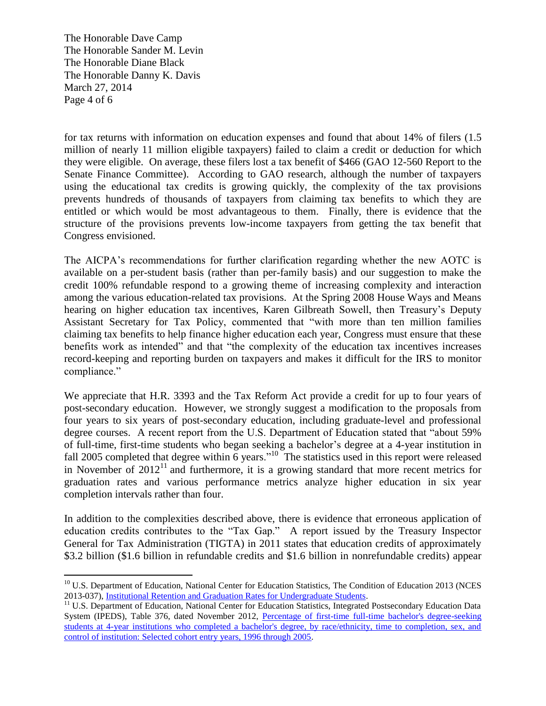The Honorable Dave Camp The Honorable Sander M. Levin The Honorable Diane Black The Honorable Danny K. Davis March 27, 2014 Page 4 of 6

for tax returns with information on education expenses and found that about 14% of filers (1.5 million of nearly 11 million eligible taxpayers) failed to claim a credit or deduction for which they were eligible. On average, these filers lost a tax benefit of \$466 (GAO 12-560 Report to the Senate Finance Committee). According to GAO research, although the number of taxpayers using the educational tax credits is growing quickly, the complexity of the tax provisions prevents hundreds of thousands of taxpayers from claiming tax benefits to which they are entitled or which would be most advantageous to them. Finally, there is evidence that the structure of the provisions prevents low-income taxpayers from getting the tax benefit that Congress envisioned.

The AICPA's recommendations for further clarification regarding whether the new AOTC is available on a per-student basis (rather than per-family basis) and our suggestion to make the credit 100% refundable respond to a growing theme of increasing complexity and interaction among the various education-related tax provisions. At the Spring 2008 House Ways and Means hearing on higher education tax incentives, Karen Gilbreath Sowell, then Treasury's Deputy Assistant Secretary for Tax Policy, commented that "with more than ten million families claiming tax benefits to help finance higher education each year, Congress must ensure that these benefits work as intended" and that "the complexity of the education tax incentives increases record-keeping and reporting burden on taxpayers and makes it difficult for the IRS to monitor compliance."

We appreciate that H.R. 3393 and the Tax Reform Act provide a credit for up to four years of post-secondary education. However, we strongly suggest a modification to the proposals from four years to six years of post-secondary education, including graduate-level and professional degree courses. A recent report from the U.S. Department of Education stated that "about 59% of full-time, first-time students who began seeking a bachelor's degree at a 4-year institution in fall 2005 completed that degree within  $\tilde{6}$  years."<sup>10</sup> The statistics used in this report were released in November of  $2012<sup>11</sup>$  and furthermore, it is a growing standard that more recent metrics for graduation rates and various performance metrics analyze higher education in six year completion intervals rather than four.

In addition to the complexities described above, there is evidence that erroneous application of education credits contributes to the "Tax Gap." A report issued by the Treasury Inspector General for Tax Administration (TIGTA) in 2011 states that education credits of approximately \$3.2 billion (\$1.6 billion in refundable credits and \$1.6 billion in nonrefundable credits) appear

 $\overline{a}$ <sup>10</sup> U.S. Department of Education, National Center for Education Statistics, The Condition of Education 2013 (NCES 2013-037)[, Institutional Retention and Graduation Rates for Undergraduate Students.](http://nces.ed.gov/programs/coe/indicator_cva.asp)

<sup>&</sup>lt;sup>11</sup> U.S. Department of Education, National Center for Education Statistics, Integrated Postsecondary Education Data System (IPEDS), Table 376, dated November 2012, [Percentage of first-time full-time bachelor's degree-seeking](http://nces.ed.gov/programs/digest/d12/tables/dt12_376.asp)  [students at 4-year institutions who completed a bachelor's degree, by race/ethnicity, time to completion, sex, and](http://nces.ed.gov/programs/digest/d12/tables/dt12_376.asp)  [control of institution: Selected cohort entry years, 1996 through 2005.](http://nces.ed.gov/programs/digest/d12/tables/dt12_376.asp)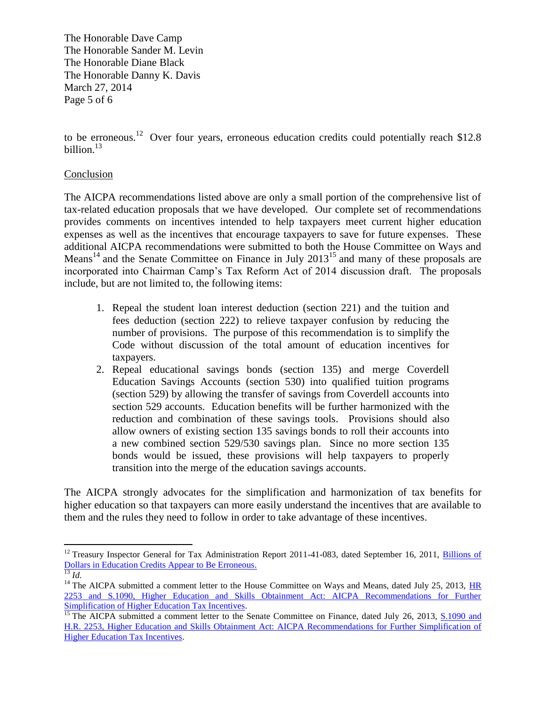The Honorable Dave Camp The Honorable Sander M. Levin The Honorable Diane Black The Honorable Danny K. Davis March 27, 2014 Page 5 of 6

to be erroneous.<sup>12</sup> Over four years, erroneous education credits could potentially reach \$12.8 billion.<sup>13</sup>

## Conclusion

The AICPA recommendations listed above are only a small portion of the comprehensive list of tax-related education proposals that we have developed. Our complete set of recommendations provides comments on incentives intended to help taxpayers meet current higher education expenses as well as the incentives that encourage taxpayers to save for future expenses. These additional AICPA recommendations were submitted to both the House Committee on Ways and Means<sup>14</sup> and the Senate Committee on Finance in July  $2013^{15}$  and many of these proposals are incorporated into Chairman Camp's Tax Reform Act of 2014 discussion draft. The proposals include, but are not limited to, the following items:

- 1. Repeal the student loan interest deduction (section 221) and the tuition and fees deduction (section 222) to relieve taxpayer confusion by reducing the number of provisions. The purpose of this recommendation is to simplify the Code without discussion of the total amount of education incentives for taxpayers.
- 2. Repeal educational savings bonds (section 135) and merge Coverdell Education Savings Accounts (section 530) into qualified tuition programs (section 529) by allowing the transfer of savings from Coverdell accounts into section 529 accounts. Education benefits will be further harmonized with the reduction and combination of these savings tools. Provisions should also allow owners of existing section 135 savings bonds to roll their accounts into a new combined section 529/530 savings plan. Since no more section 135 bonds would be issued, these provisions will help taxpayers to properly transition into the merge of the education savings accounts.

The AICPA strongly advocates for the simplification and harmonization of tax benefits for higher education so that taxpayers can more easily understand the incentives that are available to them and the rules they need to follow in order to take advantage of these incentives.

 $\overline{a}$ <sup>12</sup> Treasury Inspector General for Tax Administration Report 2011-41-083, dated September 16, 2011, *Billions of* [Dollars in Education Credits Appear to Be Erroneous.](http://www.treasury.gov/tigta/auditreports/2011reports/201141083fr.pdf)

 $\overline{\frac{13}{13}}$ *Id.* 

<sup>&</sup>lt;sup>14</sup> The AICPA submitted a comment letter to the House Committee on Ways and Means, dated July 25, 2013,  $\overline{HR}$ [2253 and S.1090, Higher Education and Skills Obtainment Act: AICPA Recommendations for Further](http://www.aicpa.org/Advocacy/Tax/Individuals/DownloadableDocuments/AICPA-HR2253-Education-Comments-7-25-13.pdf)  [Simplification of Higher Education Tax Incentives.](http://www.aicpa.org/Advocacy/Tax/Individuals/DownloadableDocuments/AICPA-HR2253-Education-Comments-7-25-13.pdf)

<sup>&</sup>lt;sup>15</sup> The AICPA submitted a comment letter to the Senate Committee on Finance, dated July 26, 2013, S.1090 and [H.R. 2253, Higher Education and Skills Obtainment Act: AICPA Recommendations for Further Simplification of](http://www.aicpa.org/advocacy/tax/individuals/downloadabledocuments/aicpa-%20s%201090_education%20comments_7-26-13.pdf)  [Higher Education Tax Incentives.](http://www.aicpa.org/advocacy/tax/individuals/downloadabledocuments/aicpa-%20s%201090_education%20comments_7-26-13.pdf)